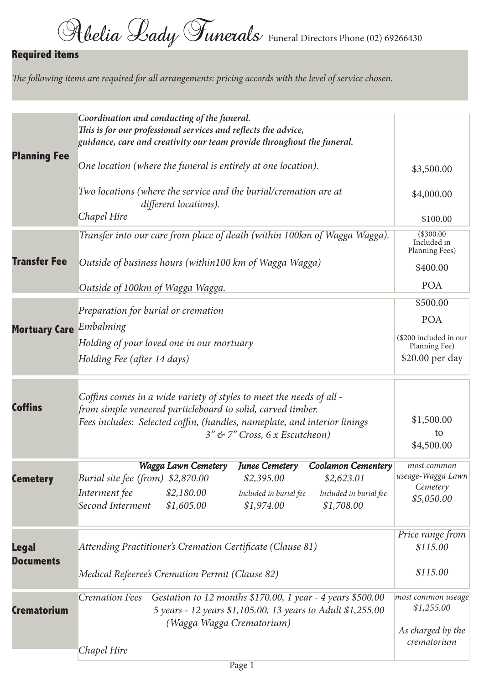## **Required items**

The following items are required for all arrangements: pricing accords with the level of service chosen.

| <b>Planning Fee</b>       | Coordination and conducting of the funeral.<br>This is for our professional services and reflects the advice,<br>guidance, care and creativity our team provide throughout the funeral.<br>One location (where the funeral is entirely at one location).<br>Two locations (where the service and the burial/cremation are at<br>different locations).<br>Chapel Hire | \$3,500.00<br>\$4,000.00<br>\$100.00                                                 |
|---------------------------|----------------------------------------------------------------------------------------------------------------------------------------------------------------------------------------------------------------------------------------------------------------------------------------------------------------------------------------------------------------------|--------------------------------------------------------------------------------------|
| <b>Transfer Fee</b>       | Transfer into our care from place of death (within 100km of Wagga Wagga).<br>Outside of business hours (within100 km of Wagga Wagga)<br>Outside of 100km of Wagga Wagga.                                                                                                                                                                                             | (\$300.00<br>Included in<br>Planning Fees)<br>\$400.00<br><b>POA</b>                 |
| Mortuary Care Embalming   | Preparation for burial or cremation<br>Holding of your loved one in our mortuary<br>Holding Fee (after 14 days)                                                                                                                                                                                                                                                      | \$500.00<br><b>POA</b><br>(\$200 included in our<br>Planning Fee)<br>\$20.00 per day |
| <b>Coffins</b>            | Coffins comes in a wide variety of styles to meet the needs of all -<br>from simple veneered particleboard to solid, carved timber.<br>Fees includes: Selected coffin, (handles, nameplate, and interior linings<br>3" & 7" Cross, 6 x Escutcheon)                                                                                                                   | \$1,500.00<br>to<br>\$4,500.00                                                       |
| <b>Cemetery</b>           | <b>Junee Cemetery</b><br>Wagga Lawn Cemetery<br><b>Coolamon Cementery</b><br>Burial site fee (from) \$2,870.00<br>\$2,395.00<br>\$2,623.01<br>Interment fee<br>\$2,180.00<br>Included in burial fee<br>Included in burial fee<br>Second Interment<br>\$1,605.00<br>\$1,974.00<br>\$1,708.00                                                                          | most common<br>useage-Wagga Lawn<br>Cemetery<br>\$5,050.00                           |
| Legal<br><b>Documents</b> | Attending Practitioner's Cremation Certificate (Clause 81)<br>Medical Refeeree's Cremation Permit (Clause 82)                                                                                                                                                                                                                                                        | Price range from<br>\$115.00<br>\$115.00                                             |
| <b>Crematorium</b>        | <b>Cremation Fees</b><br>Gestation to 12 months \$170.00, 1 year - 4 years \$500.00<br>5 years - 12 years \$1,105.00, 13 years to Adult \$1,255.00<br>(Wagga Wagga Crematorium)<br>Chapel Hire                                                                                                                                                                       | most common useage<br>\$1,255.00<br>As charged by the<br>crematorium                 |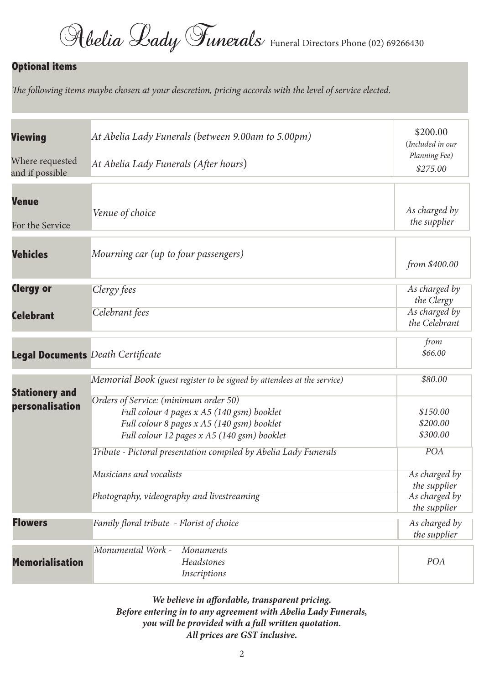Rbelia Lady Funerals Funeral Directors Phone (02) 69266430

#### **Optional items**

The following items maybe chosen at your descretion, pricing accords with the level of service elected.

| <b>Viewing</b>                           | At Abelia Lady Funerals (between 9.00am to 5.00pm)                                                                                      | \$200.00<br>(Included in our     |
|------------------------------------------|-----------------------------------------------------------------------------------------------------------------------------------------|----------------------------------|
| Where requested<br>and if possible       | At Abelia Lady Funerals (After hours)                                                                                                   | Planning Fee)<br>\$275.00        |
| <b>Venue</b><br>For the Service          | Venue of choice                                                                                                                         | As charged by<br>the supplier    |
| <b>Vehicles</b>                          | Mourning car (up to four passengers)                                                                                                    | from \$400.00                    |
| <b>Clergy or</b>                         | Clergy fees                                                                                                                             | As charged by<br>the Clergy      |
| <b>Celebrant</b>                         | Celebrant fees                                                                                                                          | As charged by<br>the Celebrant   |
| <b>Legal Documents</b> Death Certificate |                                                                                                                                         | from<br>\$66.00                  |
| <b>Stationery and</b><br>personalisation | Memorial Book (guest register to be signed by attendees at the service)<br>Orders of Service: (minimum order 50)                        | \$80.00                          |
|                                          | Full colour 4 pages x A5 (140 gsm) booklet<br>Full colour 8 pages x A5 (140 gsm) booklet<br>Full colour 12 pages x A5 (140 gsm) booklet | \$150.00<br>\$200.00<br>\$300.00 |
|                                          | Tribute - Pictoral presentation compiled by Abelia Lady Funerals                                                                        | POA                              |
|                                          | Musicians and vocalists                                                                                                                 | As charged by<br>the supplier    |
|                                          | Photography, videography and livestreaming                                                                                              | As charged by<br>the supplier    |
| <b>Flowers</b>                           | Family floral tribute - Florist of choice                                                                                               | As charged by<br>the supplier    |
| <b>Memorialisation</b>                   | Monumental Work -<br><b>Monuments</b><br>Headstones<br>Inscriptions                                                                     | POA                              |

**We believe in affordable, transparent pricing. Before entering in to any agreement with Abelia Lady Funerals, you will be provided with a full written quotation. All prices are GST inclusive.**